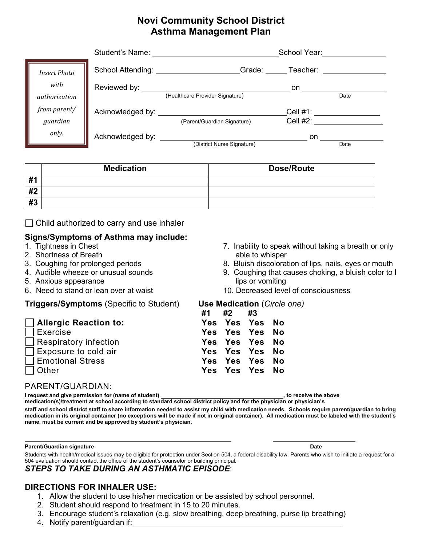# **Novi Community School District Asthma Management Plan**

|                     | Student's Name:                                             |                                 | School Year:         |      |
|---------------------|-------------------------------------------------------------|---------------------------------|----------------------|------|
| <b>Insert Photo</b> | School Attending:                                           | Grade:                          | Teacher:             |      |
| with                | Reviewed by: <u>Newletter</u>                               |                                 | on.                  |      |
| authorization       |                                                             | (Healthcare Provider Signature) |                      | Date |
| from parent/        |                                                             |                                 | Cell #1: ___________ |      |
| guardian            |                                                             | (Parent/Guardian Signature)     | Cell #2:             |      |
| only.               | Acknowledged by: North Markovice Markovice Acknowledged by: |                                 | on                   |      |
|                     |                                                             | (District Nurse Signature)      |                      | Date |

|          | <b>Medication</b> | <b>Dose/Route</b> |
|----------|-------------------|-------------------|
| #1<br>T. |                   |                   |
| #2       |                   |                   |
| #3       |                   |                   |

 $\Box$  Child authorized to carry and use inhaler

# **Signs/Symptoms of Asthma may include:**

- 
- 2. Shortness of Breath able to whisper
- 
- 
- 5. Anxious appearance lips or vomiting
- 6. Need to stand or lean over at waist 10. Decreased level of consciousness

## **Triggers/Symptoms** (Specific to Student) **Use Medication** (*Circle one)*

## **Allergic Reaction to: Re** Exercise **Respiratory infection** Exposure to cold air

- **Emotional Stress**
- 

 $\overline{\phantom{a}}$ 

# 7. Inability to speak without taking a breath or only

- 3. Coughing for prolonged periods 8. Bluish discoloration of lips, nails, eyes or mouth
- 4. Audible wheeze or unusual sounds 9. Coughing that causes choking, a bluish color to l
	-

|                              | #1 #2 #3 |                |  |
|------------------------------|----------|----------------|--|
| <b>Allergic Reaction to:</b> |          | Yes Yes Yes No |  |
| Exercise                     |          | Yes Yes Yes No |  |
| Respiratory infection        |          | Yes Yes Yes No |  |
| Exposure to cold air         |          | Yes Yes Yes No |  |
| <b>Emotional Stress</b>      |          | Yes Yes Yes No |  |
| Other                        |          | Yes Yes Yes No |  |
|                              |          |                |  |

## PARENT/GUARDIAN:

**I request and give permission for (name of student)**  $\qquad \qquad$   $\qquad \qquad$   $\qquad \qquad$  , to receive the above

**medication(s)/treatment at school according to standard school district policy and for the physician or physician's staff and school district staff to share information needed to assist my child with medication needs. Schools require parent/guardian to bring medication in its original container (no exceptions will be made if not in original container). All medication must be labeled with the student's name, must be current and be approved by student's physician.**

### **Parent/Guardian signature Date**

Students with health/medical issues may be eligible for protection under Section 504, a federal disability law. Parents who wish to initiate a request for a 504 evaluation should contact the office of the student's counselor or building principal*. STEPS TO TAKE DURING AN ASTHMATIC EPISODE*:

# **DIRECTIONS FOR INHALER USE:**

- 1. Allow the student to use his/her medication or be assisted by school personnel.
- 2. Student should respond to treatment in 15 to 20 minutes.
- 3. Encourage student's relaxation (e.g. slow breathing, deep breathing, purse lip breathing)
- 4. Notify parent/guardian if: